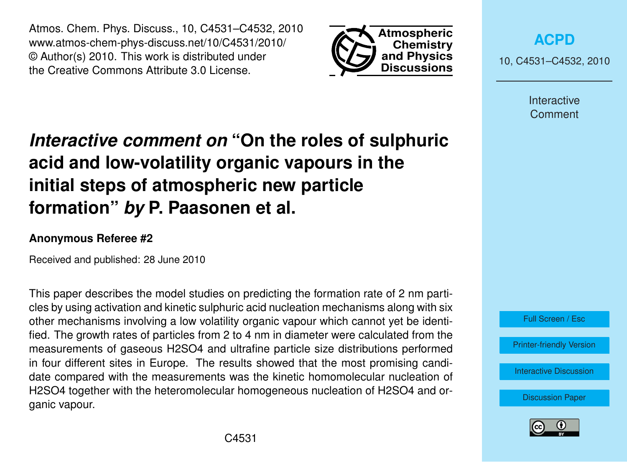Atmos. Chem. Phys. Discuss., 10, C4531–C4532, 2010 www.atmos-chem-phys-discuss.net/10/C4531/2010/ © Author(s) 2010. This work is distributed under the Creative Commons Attribute 3.0 License.



**[ACPD](http://www.atmos-chem-phys-discuss.net)**

10, C4531–C4532, 2010

Interactive Comment

## *Interactive comment on* **"On the roles of sulphuric acid and low-volatility organic vapours in the initial steps of atmospheric new particle formation"** *by* **P. Paasonen et al.**

## **Anonymous Referee #2**

Received and published: 28 June 2010

This paper describes the model studies on predicting the formation rate of 2 nm particles by using activation and kinetic sulphuric acid nucleation mechanisms along with six other mechanisms involving a low volatility organic vapour which cannot yet be identified. The growth rates of particles from 2 to 4 nm in diameter were calculated from the measurements of gaseous H2SO4 and ultrafine particle size distributions performed in four different sites in Europe. The results showed that the most promising candidate compared with the measurements was the kinetic homomolecular nucleation of H2SO4 together with the heteromolecular homogeneous nucleation of H2SO4 and organic vapour.